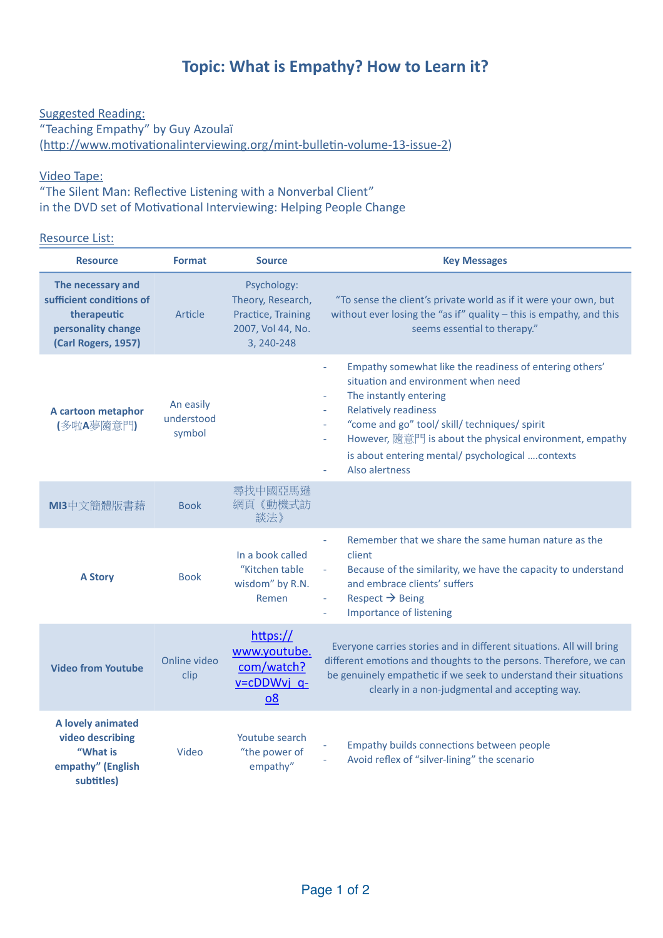## **Topic: What is Empathy? How to Learn it?**

Suggested Reading: "Teaching Empathy" by Guy Azoulaï (http://www.motivationalinterviewing.org/mint-bulletin-volume-13-issue-2)

## **Video Tape:**

"The Silent Man: Reflective Listening with a Nonverbal Client" in the DVD set of Motivational Interviewing: Helping People Change

## Resource List:

| <b>Resource</b>                                                                                           | <b>Format</b>                     | <b>Source</b>                                                                             | <b>Key Messages</b>                                                                                                                                                                                                                                                                                                                                                                                   |
|-----------------------------------------------------------------------------------------------------------|-----------------------------------|-------------------------------------------------------------------------------------------|-------------------------------------------------------------------------------------------------------------------------------------------------------------------------------------------------------------------------------------------------------------------------------------------------------------------------------------------------------------------------------------------------------|
| The necessary and<br>sufficient conditions of<br>therapeutic<br>personality change<br>(Carl Rogers, 1957) | Article                           | Psychology:<br>Theory, Research,<br>Practice, Training<br>2007, Vol 44, No.<br>3, 240-248 | "To sense the client's private world as if it were your own, but<br>without ever losing the "as if" quality - this is empathy, and this<br>seems essential to therapy."                                                                                                                                                                                                                               |
| A cartoon metaphor<br>(多啦A夢隨意門)                                                                           | An easily<br>understood<br>symbol |                                                                                           | Empathy somewhat like the readiness of entering others'<br>$\bar{\phantom{a}}$<br>situation and environment when need<br>The instantly entering<br>÷.<br><b>Relatively readiness</b><br>÷.<br>"come and go" tool/ skill/ techniques/ spirit<br>÷.<br>However, 隨意門 is about the physical environment, empathy<br>$\equiv$<br>is about entering mental/ psychological  contexts<br>Also alertness<br>L, |
| MI3中文簡體版書藉                                                                                                | <b>Book</b>                       | 尋找中國亞馬遜<br>網頁《動機式訪<br>談法》                                                                 |                                                                                                                                                                                                                                                                                                                                                                                                       |
| <b>A Story</b>                                                                                            | <b>Book</b>                       | In a book called<br>"Kitchen table<br>wisdom" by R.N.<br>Remen                            | Remember that we share the same human nature as the<br>$\omega$<br>client<br>Because of the similarity, we have the capacity to understand<br>L,<br>and embrace clients' suffers<br>Respect $\rightarrow$ Being<br>$\equiv$<br><b>Importance of listening</b>                                                                                                                                         |
| <b>Video from Youtube</b>                                                                                 | Online video<br>clip              | https://<br>www.youtube.<br>com/watch?<br>v=cDDWvj q-<br>08                               | Everyone carries stories and in different situations. All will bring<br>different emotions and thoughts to the persons. Therefore, we can<br>be genuinely empathetic if we seek to understand their situations<br>clearly in a non-judgmental and accepting way.                                                                                                                                      |
| A lovely animated<br>video describing<br>"What is<br>empathy" (English<br>subtitles)                      | Video                             | Youtube search<br>"the power of<br>empathy"                                               | Empathy builds connections between people<br>Avoid reflex of "silver-lining" the scenario                                                                                                                                                                                                                                                                                                             |